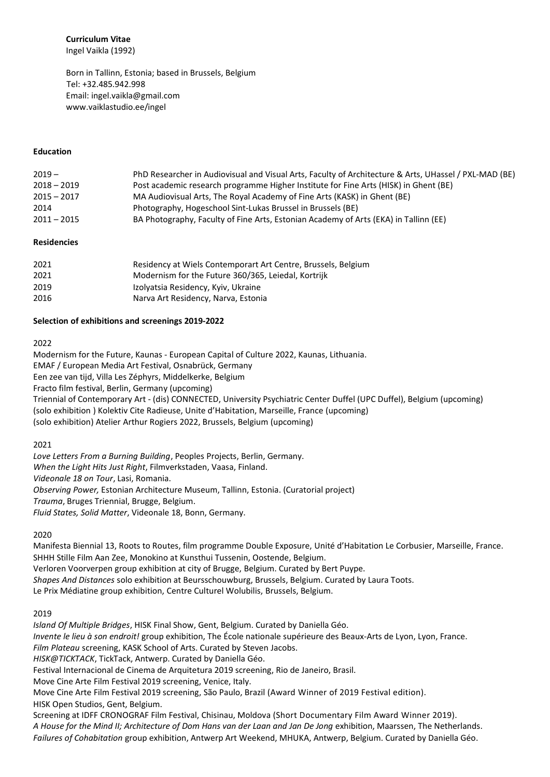**Curriculum Vitae** 

Ingel Vaikla (1992)

Born in Tallinn, Estonia; based in Brussels, Belgium Tel: +32.485.942.998 Email[: ingel.vaikla@gmail.com](mailto:ingel.vaikla@gmail.com) www.vaiklastudio.ee/ingel

#### **Education**

| $2019 -$      | PhD Researcher in Audiovisual and Visual Arts, Faculty of Architecture & Arts, UHassel / PXL-MAD (BE) |
|---------------|-------------------------------------------------------------------------------------------------------|
| $2018 - 2019$ | Post academic research programme Higher Institute for Fine Arts (HISK) in Ghent (BE)                  |
| $2015 - 2017$ | MA Audiovisual Arts, The Royal Academy of Fine Arts (KASK) in Ghent (BE)                              |
| 2014          | Photography, Hogeschool Sint-Lukas Brussel in Brussels (BE)                                           |
| $2011 - 2015$ | BA Photography, Faculty of Fine Arts, Estonian Academy of Arts (EKA) in Tallinn (EE)                  |

### **Residencies**

| 2021 | Residency at Wiels Contemporart Art Centre, Brussels, Belgium |
|------|---------------------------------------------------------------|
| 2021 | Modernism for the Future 360/365, Leiedal, Kortrijk           |
| 2019 | Izolyatsia Residency, Kyiv, Ukraine                           |
| 2016 | Narva Art Residency, Narva, Estonia                           |

#### **Selection of exhibitions and screenings 2019-2022**

#### 2022

Modernism for the Future, Kaunas - European Capital of Culture 2022, Kaunas, Lithuania.

EMAF / European Media Art Festival, Osnabrück, Germany

Een zee van tijd, Villa Les Zéphyrs, Middelkerke, Belgium

Fracto film festival, Berlin, Germany (upcoming)

Triennial of Contemporary Art - (dis) CONNECTED, University Psychiatric Center Duffel (UPC Duffel), Belgium (upcoming) (solo exhibition ) Kolektiv Cite Radieuse, Unite d'Habitation, Marseille, France (upcoming)

(solo exhibition) Atelier Arthur Rogiers 2022, Brussels, Belgium (upcoming)

# 2021

*Love Letters From a Burning Building*, Peoples Projects, Berlin, Germany. *When the Light Hits Just Right*, Filmverkstaden, Vaasa, Finland. *Videonale 18 on Tour*, Lasi, Romania. *Observing Power,* Estonian Architecture Museum, Tallinn, Estonia. (Curatorial project) *Trauma*, Bruges Triennial, Brugge, Belgium. *Fluid States, Solid Matter*, Videonale 18, Bonn, Germany.

#### 2020

Manifesta Biennial 13, Roots to Routes, film programme Double Exposure, Unité d'Habitation Le Corbusier, Marseille, France. SHHH Stille Film Aan Zee, Monokino at Kunsthui Tussenin, Oostende, Belgium. Verloren Voorverpen group exhibition at city of Brugge, Belgium. Curated by Bert Puype. *Shapes And Distances* solo exhibition at Beursschouwburg, Brussels, Belgium. Curated by Laura Toots. Le Prix Médiatine group exhibition, Centre Culturel Wolubilis, Brussels, Belgium.

#### 2019

*Island Of Multiple Bridges*, HISK Final Show, Gent, Belgium. Curated by Daniella Géo. *Invente le lieu à son endroit!* group exhibition, The École nationale supérieure des Beaux-Arts de Lyon, Lyon, France. *Film Plateau* screening, KASK School of Arts. Curated by Steven Jacobs. *HISK@TICKTACK*, TickTack, Antwerp. Curated by Daniella Géo. Festival Internacional de Cinema de Arquitetura 2019 screening, Rio de Janeiro, Brasil. Move Cine Arte Film Festival 2019 screening, Venice, Italy. Move Cine Arte Film Festival 2019 screening, São Paulo, Brazil (Award Winner of 2019 Festival edition). HISK Open Studios, Gent, Belgium. Screening at IDFF CRONOGRAF Film Festival, Chisinau, Moldova (Short Documentary Film Award Winner 2019). *A House for the Mind II; Architecture of Dom Hans van der Laan and Jan De Jong* exhibition, Maarssen, The Netherlands. *Failures of Cohabitation* group exhibition, Antwerp Art Weekend, MHUKA, Antwerp, Belgium. Curated by Daniella Géo.